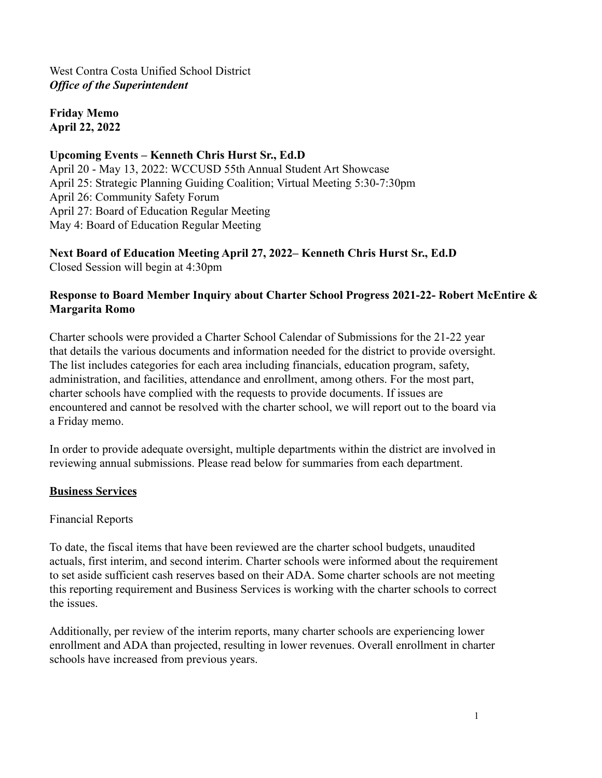**Friday Memo April 22, 2022**

### **Upcoming Events – Kenneth Chris Hurst Sr., Ed.D**

April 20 - May 13, 2022: WCCUSD 55th Annual Student Art Showcase April 25: Strategic Planning Guiding Coalition; Virtual Meeting 5:30-7:30pm April 26: Community Safety Forum April 27: Board of Education Regular Meeting May 4: Board of Education Regular Meeting

**Next Board of Education Meeting April 27, 2022– Kenneth Chris Hurst Sr., Ed.D** Closed Session will begin at 4:30pm

#### **Response to Board Member Inquiry about Charter School Progress 2021-22- Robert McEntire & Margarita Romo**

Charter schools were provided a Charter School Calendar of Submissions for the 21-22 year that details the various documents and information needed for the district to provide oversight. The list includes categories for each area including financials, education program, safety, administration, and facilities, attendance and enrollment, among others. For the most part, charter schools have complied with the requests to provide documents. If issues are encountered and cannot be resolved with the charter school, we will report out to the board via a Friday memo.

In order to provide adequate oversight, multiple departments within the district are involved in reviewing annual submissions. Please read below for summaries from each department.

#### **Business Services**

#### Financial Reports

To date, the fiscal items that have been reviewed are the charter school budgets, unaudited actuals, first interim, and second interim. Charter schools were informed about the requirement to set aside sufficient cash reserves based on their ADA. Some charter schools are not meeting this reporting requirement and Business Services is working with the charter schools to correct the issues.

Additionally, per review of the interim reports, many charter schools are experiencing lower enrollment and ADA than projected, resulting in lower revenues. Overall enrollment in charter schools have increased from previous years.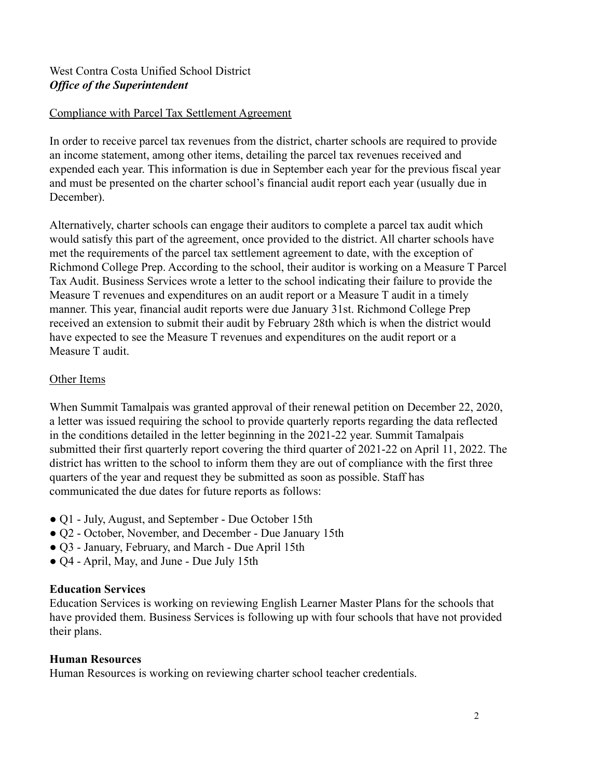#### Compliance with Parcel Tax Settlement Agreement

In order to receive parcel tax revenues from the district, charter schools are required to provide an income statement, among other items, detailing the parcel tax revenues received and expended each year. This information is due in September each year for the previous fiscal year and must be presented on the charter school's financial audit report each year (usually due in December).

Alternatively, charter schools can engage their auditors to complete a parcel tax audit which would satisfy this part of the agreement, once provided to the district. All charter schools have met the requirements of the parcel tax settlement agreement to date, with the exception of Richmond College Prep. According to the school, their auditor is working on a Measure T Parcel Tax Audit. Business Services wrote a letter to the school indicating their failure to provide the Measure T revenues and expenditures on an audit report or a Measure T audit in a timely manner. This year, financial audit reports were due January 31st. Richmond College Prep received an extension to submit their audit by February 28th which is when the district would have expected to see the Measure T revenues and expenditures on the audit report or a Measure T audit.

#### Other Items

When Summit Tamalpais was granted approval of their renewal petition on December 22, 2020, a letter was issued requiring the school to provide quarterly reports regarding the data reflected in the conditions detailed in the letter beginning in the 2021-22 year. Summit Tamalpais submitted their first quarterly report covering the third quarter of 2021-22 on April 11, 2022. The district has written to the school to inform them they are out of compliance with the first three quarters of the year and request they be submitted as soon as possible. Staff has communicated the due dates for future reports as follows:

- Q1 July, August, and September Due October 15th
- Q2 October, November, and December Due January 15th
- Q3 January, February, and March Due April 15th
- Q4 April, May, and June Due July 15th

#### **Education Services**

Education Services is working on reviewing English Learner Master Plans for the schools that have provided them. Business Services is following up with four schools that have not provided their plans.

#### **Human Resources**

Human Resources is working on reviewing charter school teacher credentials.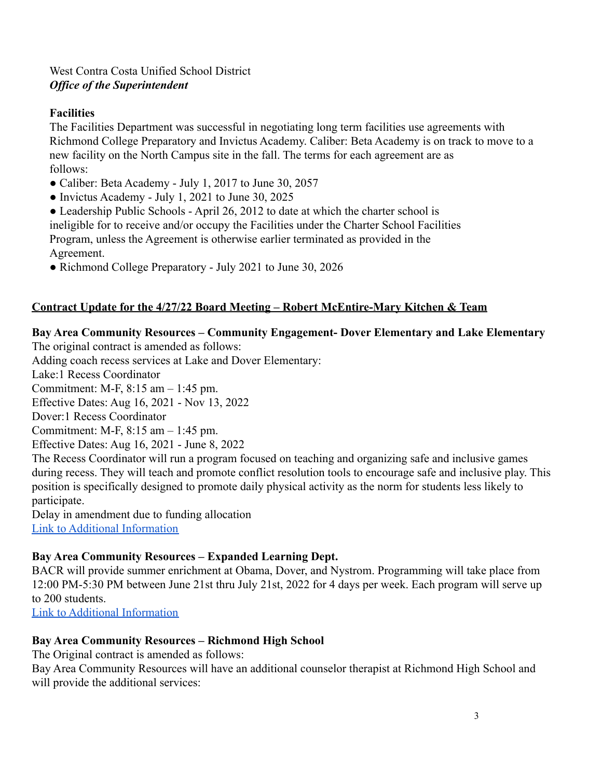### **Facilities**

The Facilities Department was successful in negotiating long term facilities use agreements with Richmond College Preparatory and Invictus Academy. Caliber: Beta Academy is on track to move to a new facility on the North Campus site in the fall. The terms for each agreement are as follows:

- Caliber: Beta Academy July 1, 2017 to June 30, 2057
- Invictus Academy July 1, 2021 to June 30, 2025
- Leadership Public Schools April 26, 2012 to date at which the charter school is ineligible for to receive and/or occupy the Facilities under the Charter School Facilities Program, unless the Agreement is otherwise earlier terminated as provided in the Agreement.
- Richmond College Preparatory July 2021 to June 30, 2026

# **Contract Update for the 4/27/22 Board Meeting – Robert McEntire-Mary Kitchen & Team**

# **Bay Area Community Resources – Community Engagement- Dover Elementary and Lake Elementary**

The original contract is amended as follows:

Adding coach recess services at Lake and Dover Elementary:

Lake:1 Recess Coordinator

Commitment: M-F, 8:15 am – 1:45 pm.

Effective Dates: Aug 16, 2021 - Nov 13, 2022

Dover:1 Recess Coordinator

Commitment: M-F, 8:15 am – 1:45 pm.

Effective Dates: Aug 16, 2021 - June 8, 2022

The Recess Coordinator will run a program focused on teaching and organizing safe and inclusive games during recess. They will teach and promote conflict resolution tools to encourage safe and inclusive play. This position is specifically designed to promote daily physical activity as the norm for students less likely to participate.

Delay in amendment due to funding allocation [Link to Additional Information](https://drive.google.com/file/d/1aARu1Br0rdlIteli8GzzSONlM6YMlqhM/view?usp=sharing)

### **Bay Area Community Resources – Expanded Learning Dept.**

BACR will provide summer enrichment at Obama, Dover, and Nystrom. Programming will take place from 12:00 PM-5:30 PM between June 21st thru July 21st, 2022 for 4 days per week. Each program will serve up to 200 students.

[Link to Additional Information](https://drive.google.com/file/d/1W6lV1jvBcKUCwevhMu6n8IFmq3DaA9lH/view?usp=sharing)

### **Bay Area Community Resources – Richmond High School**

The Original contract is amended as follows:

Bay Area Community Resources will have an additional counselor therapist at Richmond High School and will provide the additional services: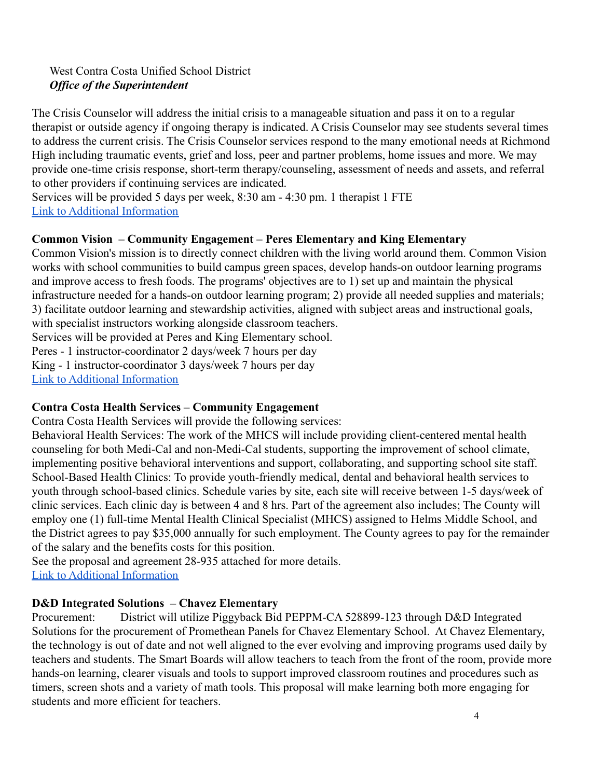The Crisis Counselor will address the initial crisis to a manageable situation and pass it on to a regular therapist or outside agency if ongoing therapy is indicated. A Crisis Counselor may see students several times to address the current crisis. The Crisis Counselor services respond to the many emotional needs at Richmond High including traumatic events, grief and loss, peer and partner problems, home issues and more. We may provide one-time crisis response, short-term therapy/counseling, assessment of needs and assets, and referral to other providers if continuing services are indicated.

Services will be provided 5 days per week, 8:30 am - 4:30 pm. 1 therapist 1 FTE [Link to Additional Information](https://drive.google.com/file/d/19N1tXJsLj-9mB2_ULIKgJiD0RaOIo26S/view?usp=sharing)

### **Common Vision – Community Engagement – Peres Elementary and King Elementary**

Common Vision's mission is to directly connect children with the living world around them. Common Vision works with school communities to build campus green spaces, develop hands-on outdoor learning programs and improve access to fresh foods. The programs' objectives are to 1) set up and maintain the physical infrastructure needed for a hands-on outdoor learning program; 2) provide all needed supplies and materials; 3) facilitate outdoor learning and stewardship activities, aligned with subject areas and instructional goals, with specialist instructors working alongside classroom teachers.

Services will be provided at Peres and King Elementary school.

Peres - 1 instructor-coordinator 2 days/week 7 hours per day

King - 1 instructor-coordinator 3 days/week 7 hours per day

[Link to Additional Information](https://drive.google.com/file/d/1Y0qQSLopkeEJ6hibWus7TGvQRW7yvPyb/view?usp=sharing)

### **Contra Costa Health Services – Community Engagement**

Contra Costa Health Services will provide the following services:

Behavioral Health Services: The work of the MHCS will include providing client-centered mental health counseling for both Medi-Cal and non-Medi-Cal students, supporting the improvement of school climate, implementing positive behavioral interventions and support, collaborating, and supporting school site staff. School-Based Health Clinics: To provide youth-friendly medical, dental and behavioral health services to youth through school-based clinics. Schedule varies by site, each site will receive between 1-5 days/week of clinic services. Each clinic day is between 4 and 8 hrs. Part of the agreement also includes; The County will employ one (1) full-time Mental Health Clinical Specialist (MHCS) assigned to Helms Middle School, and the District agrees to pay \$35,000 annually for such employment. The County agrees to pay for the remainder of the salary and the benefits costs for this position.

See the proposal and agreement 28-935 attached for more details. [Link to Additional Information](https://drive.google.com/file/d/1iDR7SFoPm2wBHU0pET-blMaHWK52Oszw/view?usp=sharing)

### **D&D Integrated Solutions – Chavez Elementary**

Procurement: District will utilize Piggyback Bid PEPPM-CA 528899-123 through D&D Integrated Solutions for the procurement of Promethean Panels for Chavez Elementary School. At Chavez Elementary, the technology is out of date and not well aligned to the ever evolving and improving programs used daily by teachers and students. The Smart Boards will allow teachers to teach from the front of the room, provide more hands-on learning, clearer visuals and tools to support improved classroom routines and procedures such as timers, screen shots and a variety of math tools. This proposal will make learning both more engaging for students and more efficient for teachers.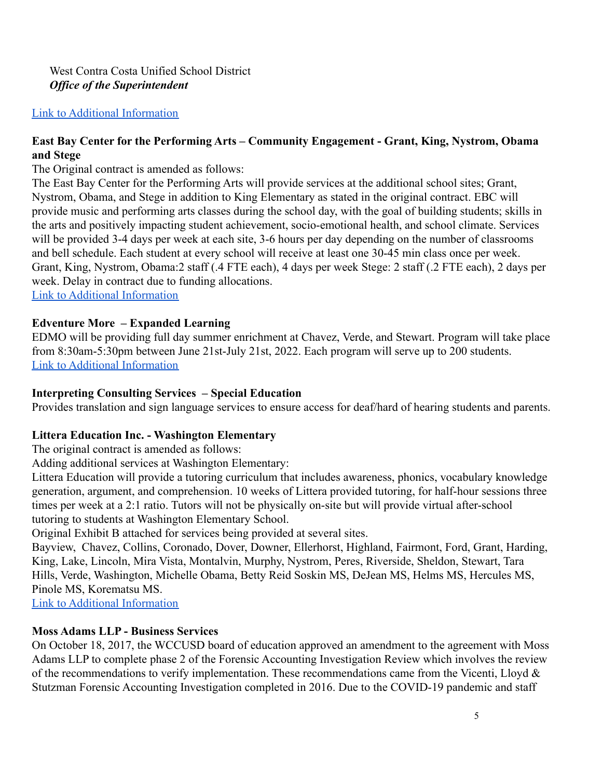#### [Link to Additional Information](https://drive.google.com/file/d/1bxfFs9Iokkvld_dUO4DQzfpjD_upSAH7/view?usp=sharing)

#### **East Bay Center for the Performing Arts – Community Engagement - Grant, King, Nystrom, Obama and Stege**

The Original contract is amended as follows:

The East Bay Center for the Performing Arts will provide services at the additional school sites; Grant, Nystrom, Obama, and Stege in addition to King Elementary as stated in the original contract. EBC will provide music and performing arts classes during the school day, with the goal of building students; skills in the arts and positively impacting student achievement, socio-emotional health, and school climate. Services will be provided 3-4 days per week at each site, 3-6 hours per day depending on the number of classrooms and bell schedule. Each student at every school will receive at least one 30-45 min class once per week. Grant, King, Nystrom, Obama:2 staff (.4 FTE each), 4 days per week Stege: 2 staff (.2 FTE each), 2 days per week. Delay in contract due to funding allocations. [Link to Additional Information](https://drive.google.com/file/d/1LqriAwegRzCMjJ5FW1FgCfVecsC_oT2B/view?usp=sharing)

## **Edventure More – Expanded Learning**

EDMO will be providing full day summer enrichment at Chavez, Verde, and Stewart. Program will take place from 8:30am-5:30pm between June 21st-July 21st, 2022. Each program will serve up to 200 students. [Link to Additional Information](https://drive.google.com/file/d/1080lrPYwgdTACSGSEIB1l4nXxH4jpI-O/view?usp=sharing)

#### **Interpreting Consulting Services – Special Education**

Provides translation and sign language services to ensure access for deaf/hard of hearing students and parents.

#### **Littera Education Inc. - Washington Elementary**

The original contract is amended as follows:

Adding additional services at Washington Elementary:

Littera Education will provide a tutoring curriculum that includes awareness, phonics, vocabulary knowledge generation, argument, and comprehension. 10 weeks of Littera provided tutoring, for half-hour sessions three times per week at a 2:1 ratio. Tutors will not be physically on-site but will provide virtual after-school tutoring to students at Washington Elementary School.

Original Exhibit B attached for services being provided at several sites.

Bayview, Chavez, Collins, Coronado, Dover, Downer, Ellerhorst, Highland, Fairmont, Ford, Grant, Harding, King, Lake, Lincoln, Mira Vista, Montalvin, Murphy, Nystrom, Peres, Riverside, Sheldon, Stewart, Tara Hills, Verde, Washington, Michelle Obama, Betty Reid Soskin MS, DeJean MS, Helms MS, Hercules MS, Pinole MS, Korematsu MS.

[Link to Additional Information](https://drive.google.com/file/d/1S4cx9RlllBtYZogyvL3WlJe3yPsyZjw6/view?usp=sharing)

#### **Moss Adams LLP - Business Services**

On October 18, 2017, the WCCUSD board of education approved an amendment to the agreement with Moss Adams LLP to complete phase 2 of the Forensic Accounting Investigation Review which involves the review of the recommendations to verify implementation. These recommendations came from the Vicenti, Lloyd  $\&$ Stutzman Forensic Accounting Investigation completed in 2016. Due to the COVID-19 pandemic and staff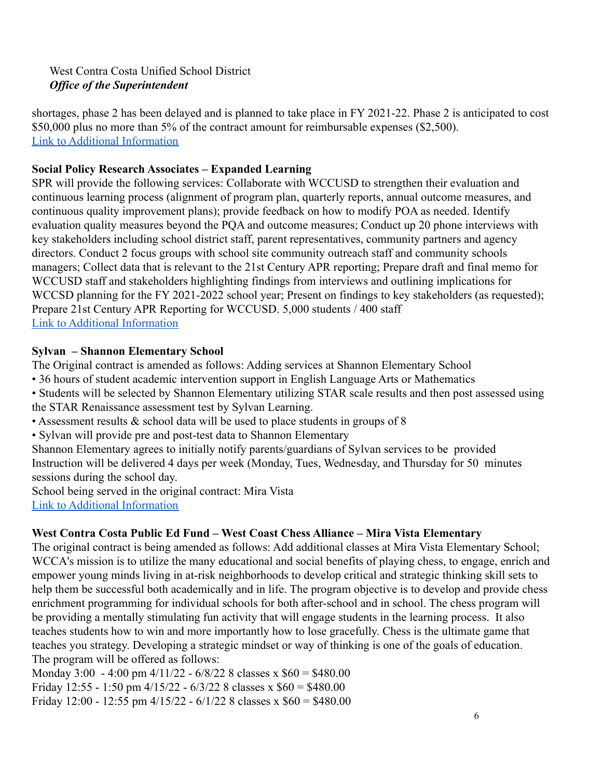shortages, phase 2 has been delayed and is planned to take place in FY 2021-22. Phase 2 is anticipated to cost \$50,000 plus no more than 5% of the contract amount for reimbursable expenses (\$2,500). [Link to Additional Information](https://drive.google.com/file/d/18AWVBUi-bCLQG07gmUUFfRut41PeemX4/view?usp=sharing)

## **Social Policy Research Associates – Expanded Learning**

SPR will provide the following services: Collaborate with WCCUSD to strengthen their evaluation and continuous learning process (alignment of program plan, quarterly reports, annual outcome measures, and continuous quality improvement plans); provide feedback on how to modify POA as needed. Identify evaluation quality measures beyond the PQA and outcome measures; Conduct up 20 phone interviews with key stakeholders including school district staff, parent representatives, community partners and agency directors. Conduct 2 focus groups with school site community outreach staff and community schools managers; Collect data that is relevant to the 21st Century APR reporting; Prepare draft and final memo for WCCUSD staff and stakeholders highlighting findings from interviews and outlining implications for WCCSD planning for the FY 2021-2022 school year; Present on findings to key stakeholders (as requested); Prepare 21st Century APR Reporting for WCCUSD. 5,000 students / 400 staff [Link to Additional Information](https://drive.google.com/file/d/1X-TAVLiPTyChz1EoCUV-ChbmleOGLHVC/view?usp=sharing)

### **Sylvan – Shannon Elementary School**

The Original contract is amended as follows: Adding services at Shannon Elementary School

- 36 hours of student academic intervention support in English Language Arts or Mathematics
- Students will be selected by Shannon Elementary utilizing STAR scale results and then post assessed using the STAR Renaissance assessment test by Sylvan Learning.
- Assessment results & school data will be used to place students in groups of 8
- Sylvan will provide pre and post-test data to Shannon Elementary

Shannon Elementary agrees to initially notify parents/guardians of Sylvan services to be provided Instruction will be delivered 4 days per week (Monday, Tues, Wednesday, and Thursday for 50 minutes sessions during the school day.

School being served in the original contract: Mira Vista [Link to Additional Information](https://drive.google.com/file/d/1_46RhVC7NbqjeqMnpzYsyQ4WK9eQjR5Y/view?usp=sharing)

# **West Contra Costa Public Ed Fund – West Coast Chess Alliance – Mira Vista Elementary**

The original contract is being amended as follows: Add additional classes at Mira Vista Elementary School; WCCA's mission is to utilize the many educational and social benefits of playing chess, to engage, enrich and empower young minds living in at-risk neighborhoods to develop critical and strategic thinking skill sets to help them be successful both academically and in life. The program objective is to develop and provide chess enrichment programming for individual schools for both after-school and in school. The chess program will be providing a mentally stimulating fun activity that will engage students in the learning process. It also teaches students how to win and more importantly how to lose gracefully. Chess is the ultimate game that teaches you strategy. Developing a strategic mindset or way of thinking is one of the goals of education. The program will be offered as follows:

Monday 3:00 - 4:00 pm 4/11/22 - 6/8/22 8 classes x \$60 = \$480.00 Friday 12:55 - 1:50 pm  $4/15/22$  -  $6/3/22$  8 classes x  $$60 = $480.00$ Friday 12:00 - 12:55 pm  $4/15/22$  -  $6/1/22$  8 classes x  $$60 = $480.00$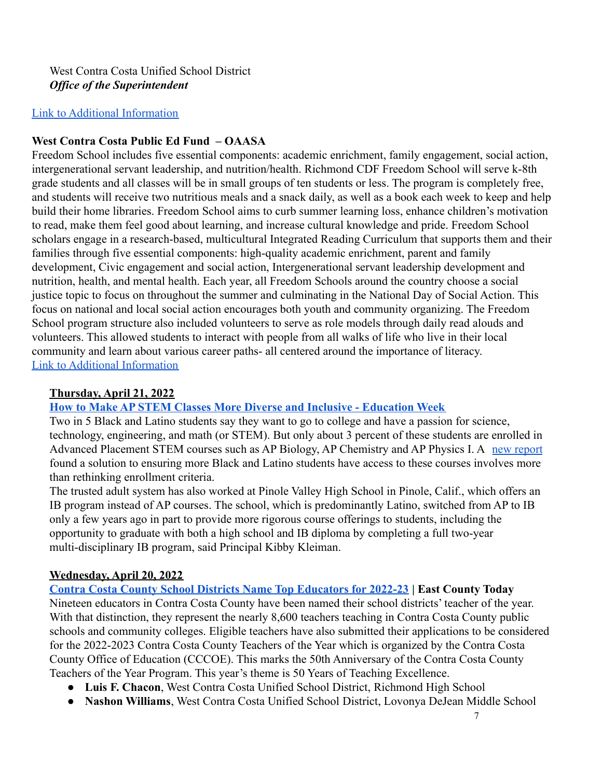#### [Link to Additional Information](https://drive.google.com/file/d/1KOibZ6FTctxJiflVNBEuOFUUDZwcJKg6/view?usp=sharing)

### **West Contra Costa Public Ed Fund – OAASA**

Freedom School includes five essential components: academic enrichment, family engagement, social action, intergenerational servant leadership, and nutrition/health. Richmond CDF Freedom School will serve k-8th grade students and all classes will be in small groups of ten students or less. The program is completely free, and students will receive two nutritious meals and a snack daily, as well as a book each week to keep and help build their home libraries. Freedom School aims to curb summer learning loss, enhance children's motivation to read, make them feel good about learning, and increase cultural knowledge and pride. Freedom School scholars engage in a research-based, multicultural Integrated Reading Curriculum that supports them and their families through five essential components: high-quality academic enrichment, parent and family development, Civic engagement and social action, Intergenerational servant leadership development and nutrition, health, and mental health. Each year, all Freedom Schools around the country choose a social justice topic to focus on throughout the summer and culminating in the National Day of Social Action. This focus on national and local social action encourages both youth and community organizing. The Freedom School program structure also included volunteers to serve as role models through daily read alouds and volunteers. This allowed students to interact with people from all walks of life who live in their local community and learn about various career paths- all centered around the importance of literacy. [Link to Additional Information](https://drive.google.com/file/d/1f-NlTauYfvyoA1MLelgU_KG4tTLI1o-s/view?usp=sharing)

#### **Thursday, April 21, 2022**

### **[How to Make AP STEM Classes More Diverse and Inclusive - Education Week](https://www.edweek.org/teaching-learning/how-to-make-ap-stem-classes-more-diverse-and-inclusive/2022/04)**

Two in 5 Black and Latino students say they want to go to college and have a passion for science, technology, engineering, and math (or STEM). But only about 3 percent of these students are enrolled in Advanced Placement STEM courses such as AP Biology, AP Chemistry and AP Physics I. A [new report](https://edtrust.org/resource/why-are-black-and-latino-students-shut-out-of-ap-stem-courses/) found a solution to ensuring more Black and Latino students have access to these courses involves more than rethinking enrollment criteria.

The trusted adult system has also worked at Pinole Valley High School in Pinole, Calif., which offers an IB program instead of AP courses. The school, which is predominantly Latino, switched from AP to IB only a few years ago in part to provide more rigorous course offerings to students, including the opportunity to graduate with both a high school and IB diploma by completing a full two-year multi-disciplinary IB program, said Principal Kibby Kleiman.

### **Wednesday, April 20, 2022**

**[Contra Costa County School Districts Name Top Educators for 2022-23](https://eastcountytoday.net/contra-costa-county-school-districts-name-top-educators-for-2022-23/) | East County Today** Nineteen educators in Contra Costa County have been named their school districts' teacher of the year. With that distinction, they represent the nearly 8,600 teachers teaching in Contra Costa County public schools and community colleges. Eligible teachers have also submitted their applications to be considered for the 2022-2023 Contra Costa County Teachers of the Year which is organized by the Contra Costa County Office of Education (CCCOE). This marks the 50th Anniversary of the Contra Costa County Teachers of the Year Program. This year's theme is 50 Years of Teaching Excellence.

- **Luis F. Chacon**, West Contra Costa Unified School District, Richmond High School
- **Nashon Williams**, West Contra Costa Unified School District, Lovonya DeJean Middle School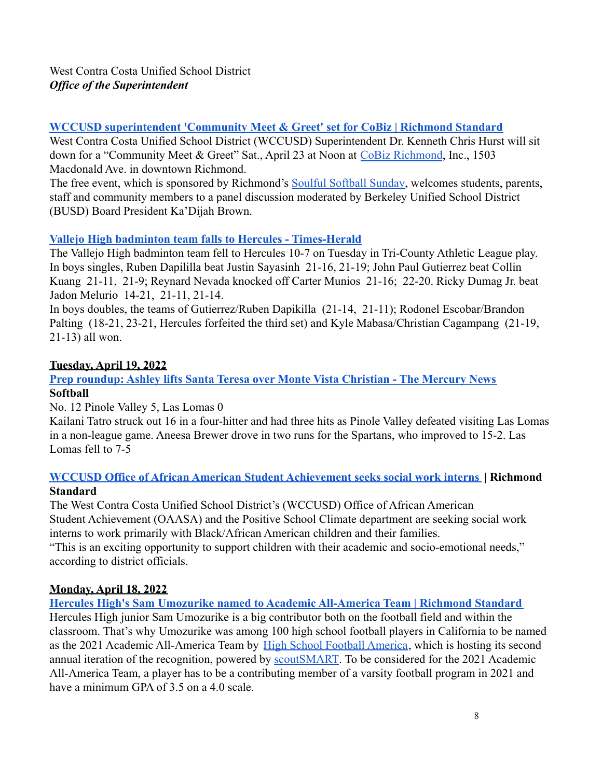## **[WCCUSD superintendent 'Community Meet & Greet' set for CoBiz | Richmond Standard](https://richmondstandard.com/richmond/2022/04/20/wccusd-superintendent-community-meet-greet-set-for-cobiz/)**

West Contra Costa Unified School District (WCCUSD) Superintendent Dr. Kenneth Chris Hurst will sit down for a "Community Meet & Greet" Sat., April 23 at Noon at [CoBiz Richmond](https://www.cobizrichmond.com/), Inc., 1503 Macdonald Ave. in downtown Richmond.

The free event, which is sponsored by Richmond's Soulful [Softball Sunday](https://www.facebook.com/groups/368963800369248/), welcomes students, parents, staff and community members to a panel discussion moderated by Berkeley Unified School District (BUSD) Board President Ka'Dijah Brown.

# **[Vallejo High badminton team falls to Hercules - Times-Herald](https://www.timesheraldonline.com/2022/04/20/vallejo-high-badminton-team-falls-to-hercules)**

The Vallejo High badminton team fell to Hercules 10-7 on Tuesday in Tri-County Athletic League play. In boys singles, Ruben Dapililla beat Justin Sayasinh 21-16, 21-19; John Paul Gutierrez beat Collin Kuang 21-11, 21-9; Reynard Nevada knocked off Carter Munios 21-16; 22-20. Ricky Dumag Jr. beat Jadon Melurio 14-21, 21-11, 21-14.

In boys doubles, the teams of Gutierrez/Ruben Dapikilla (21-14, 21-11); Rodonel Escobar/Brandon Palting (18-21, 23-21, Hercules forfeited the third set) and Kyle Mabasa/Christian Cagampang (21-19, 21-13) all won.

# **Tuesday, April 19, 2022**

### **[Prep roundup: Ashley lifts Santa Teresa over Monte Vista Christian - The Mercury News](https://www.mercurynews.com/2022/04/19/high-school-roundup-brandon-ashley-3-hits-4-rbis-propels-santa-teresa-past-monte-vista-christian/) Softball**

No. 12 Pinole Valley 5, Las Lomas 0

Kailani Tatro struck out 16 in a four-hitter and had three hits as Pinole Valley defeated visiting Las Lomas in a non-league game. Aneesa Brewer drove in two runs for the Spartans, who improved to 15-2. Las Lomas fell to 7-5

### **[WCCUSD Office of African American Student Achievement seeks social work interns](https://richmondstandard.com/richmond/2022/04/19/wccusd-office-of-african-american-student-achievement-seeks-social-work-interns/) | Richmond Standard**

The West Contra Costa Unified School District's (WCCUSD) Office of African American Student Achievement (OAASA) and the Positive School Climate department are seeking social work interns to work primarily with Black/African American children and their families.

"This is an exciting opportunity to support children with their academic and socio-emotional needs," according to district officials.

# **Monday, April 18, 2022**

### **[Hercules High's Sam Umozurike named to Academic All-America Team | Richmond Standard](https://richmondstandard.com/sports/2022/04/18/hercules-highs-sam-umozurike-named-to-academic-all-america-team/)**

Hercules High junior Sam Umozurike is a big contributor both on the football field and within the classroom. That's why Umozurike was among 100 high school football players in California to be named as the 2021 Academic All-America Team by High School [Football America](https://highschoolfootballamerica.com/), which is hosting its second annual iteration of the recognition, powered by [scoutSMART.](https://www.scoutsmartrecruiting.com/high-school-coaches) To be considered for the 2021 Academic All-America Team, a player has to be a contributing member of a varsity football program in 2021 and have a minimum GPA of 3.5 on a 4.0 scale.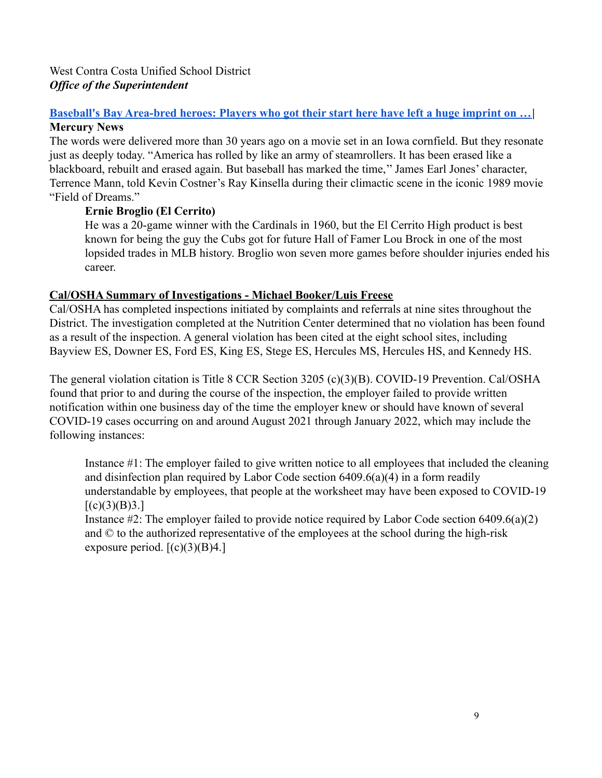#### **[Baseball's Bay Area-bred heroes: Players who got their start here have left a huge imprint on …](https://www.mercurynews.com/2022/04/17/baseballs-bay-area-bred-heroes-players-who-got-their-start-here-have-left-a-huge-imprint-on-the-game/)| Mercury News**

The words were delivered more than 30 years ago on a movie set in an Iowa cornfield. But they resonate just as deeply today. "America has rolled by like an army of steamrollers. It has been erased like a blackboard, rebuilt and erased again. But baseball has marked the time,'' James Earl Jones' character, Terrence Mann, told Kevin Costner's Ray Kinsella during their climactic scene in the iconic 1989 movie "Field of Dreams."

#### **Ernie Broglio (El Cerrito)**

He was a 20-game winner with the Cardinals in 1960, but the El Cerrito High product is best known for being the guy the Cubs got for future Hall of Famer Lou Brock in one of the most lopsided trades in MLB history. Broglio won seven more games before shoulder injuries ended his career.

#### **Cal/OSHA Summary of Investigations - Michael Booker/Luis Freese**

Cal/OSHA has completed inspections initiated by complaints and referrals at nine sites throughout the District. The investigation completed at the Nutrition Center determined that no violation has been found as a result of the inspection. A general violation has been cited at the eight school sites, including Bayview ES, Downer ES, Ford ES, King ES, Stege ES, Hercules MS, Hercules HS, and Kennedy HS.

The general violation citation is Title 8 CCR Section 3205 (c)(3)(B). COVID-19 Prevention. Cal/OSHA found that prior to and during the course of the inspection, the employer failed to provide written notification within one business day of the time the employer knew or should have known of several COVID-19 cases occurring on and around August 2021 through January 2022, which may include the following instances:

Instance #1: The employer failed to give written notice to all employees that included the cleaning and disinfection plan required by Labor Code section 6409.6(a)(4) in a form readily understandable by employees, that people at the worksheet may have been exposed to COVID-19  $[(c)(3)(B)3.]$ 

Instance #2: The employer failed to provide notice required by Labor Code section 6409.6(a)(2) and © to the authorized representative of the employees at the school during the high-risk exposure period.  $[(c)(3)(B)4.]$